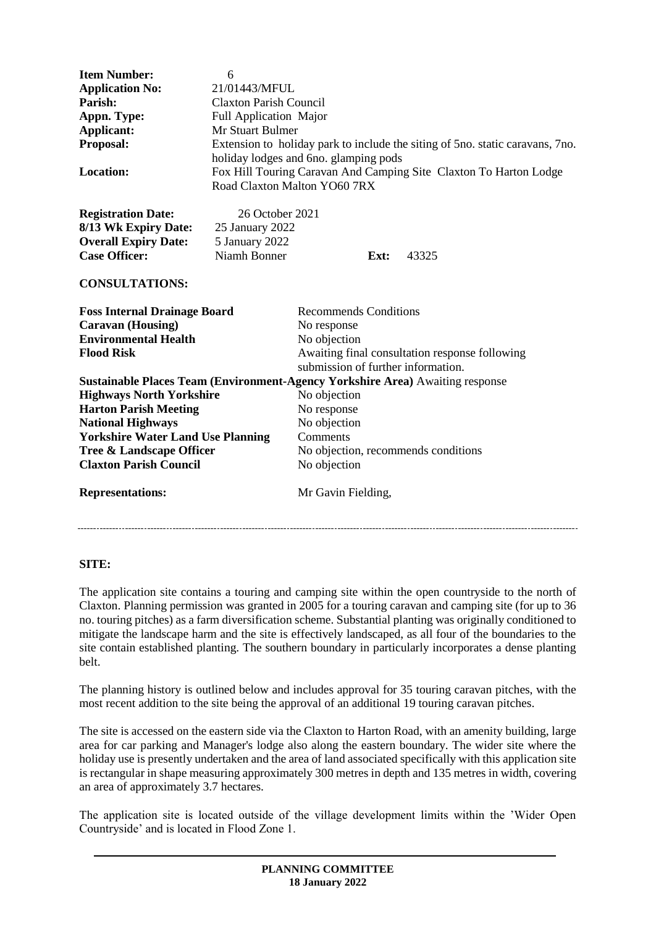| <b>Item Number:</b><br><b>Application No:</b><br>Parish:<br>Appn. Type:<br><b>Applicant:</b><br>Proposal:<br>Location:                                                                                          | 6<br>21/01443/MFUL<br><b>Claxton Parish Council</b><br>Full Application Major<br>Mr Stuart Bulmer<br>Extension to holiday park to include the siting of 5no. static caravans, 7no.<br>holiday lodges and 6no. glamping pods<br>Fox Hill Touring Caravan And Camping Site Claxton To Harton Lodge |                                                                                                                                                     |  |       |
|-----------------------------------------------------------------------------------------------------------------------------------------------------------------------------------------------------------------|--------------------------------------------------------------------------------------------------------------------------------------------------------------------------------------------------------------------------------------------------------------------------------------------------|-----------------------------------------------------------------------------------------------------------------------------------------------------|--|-------|
|                                                                                                                                                                                                                 | Road Claxton Malton YO60 7RX                                                                                                                                                                                                                                                                     |                                                                                                                                                     |  |       |
| <b>Registration Date:</b><br>8/13 Wk Expiry Date:<br><b>Overall Expiry Date:</b><br><b>Case Officer:</b>                                                                                                        | 26 October 2021<br>25 January 2022<br>5 January 2022<br>Niamh Bonner                                                                                                                                                                                                                             | Ext:                                                                                                                                                |  | 43325 |
| <b>CONSULTATIONS:</b>                                                                                                                                                                                           |                                                                                                                                                                                                                                                                                                  |                                                                                                                                                     |  |       |
| <b>Foss Internal Drainage Board</b><br><b>Caravan</b> (Housing)<br><b>Environmental Health</b><br><b>Flood Risk</b>                                                                                             |                                                                                                                                                                                                                                                                                                  | <b>Recommends Conditions</b><br>No response<br>No objection<br>Awaiting final consultation response following<br>submission of further information. |  |       |
| <b>Sustainable Places Team (Environment-Agency Yorkshire Area)</b> Awaiting response                                                                                                                            |                                                                                                                                                                                                                                                                                                  |                                                                                                                                                     |  |       |
| <b>Highways North Yorkshire</b><br><b>Harton Parish Meeting</b><br><b>National Highways</b><br><b>Yorkshire Water Land Use Planning</b><br><b>Tree &amp; Landscape Officer</b><br><b>Claxton Parish Council</b> |                                                                                                                                                                                                                                                                                                  | No objection<br>No response<br>No objection<br>Comments<br>No objection, recommends conditions<br>No objection                                      |  |       |
| <b>Representations:</b>                                                                                                                                                                                         |                                                                                                                                                                                                                                                                                                  | Mr Gavin Fielding,                                                                                                                                  |  |       |
|                                                                                                                                                                                                                 |                                                                                                                                                                                                                                                                                                  |                                                                                                                                                     |  |       |

# **SITE:**

The application site contains a touring and camping site within the open countryside to the north of Claxton. Planning permission was granted in 2005 for a touring caravan and camping site (for up to 36 no. touring pitches) as a farm diversification scheme. Substantial planting was originally conditioned to mitigate the landscape harm and the site is effectively landscaped, as all four of the boundaries to the site contain established planting. The southern boundary in particularly incorporates a dense planting belt.

The planning history is outlined below and includes approval for 35 touring caravan pitches, with the most recent addition to the site being the approval of an additional 19 touring caravan pitches.

The site is accessed on the eastern side via the Claxton to Harton Road, with an amenity building, large area for car parking and Manager's lodge also along the eastern boundary. The wider site where the holiday use is presently undertaken and the area of land associated specifically with this application site is rectangular in shape measuring approximately 300 metres in depth and 135 metres in width, covering an area of approximately 3.7 hectares.

The application site is located outside of the village development limits within the 'Wider Open Countryside' and is located in Flood Zone 1.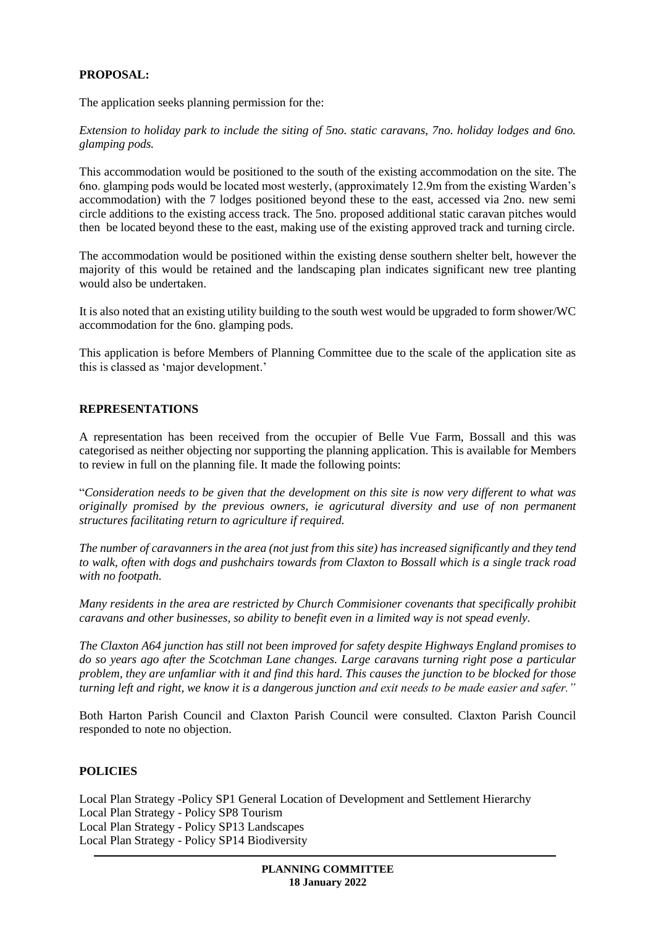# **PROPOSAL:**

The application seeks planning permission for the:

*Extension to holiday park to include the siting of 5no. static caravans, 7no. holiday lodges and 6no. glamping pods.* 

This accommodation would be positioned to the south of the existing accommodation on the site. The 6no. glamping pods would be located most westerly, (approximately 12.9m from the existing Warden's accommodation) with the 7 lodges positioned beyond these to the east, accessed via 2no. new semi circle additions to the existing access track. The 5no. proposed additional static caravan pitches would then be located beyond these to the east, making use of the existing approved track and turning circle.

The accommodation would be positioned within the existing dense southern shelter belt, however the majority of this would be retained and the landscaping plan indicates significant new tree planting would also be undertaken.

It is also noted that an existing utility building to the south west would be upgraded to form shower/WC accommodation for the 6no. glamping pods.

This application is before Members of Planning Committee due to the scale of the application site as this is classed as 'major development.'

## **REPRESENTATIONS**

A representation has been received from the occupier of Belle Vue Farm, Bossall and this was categorised as neither objecting nor supporting the planning application. This is available for Members to review in full on the planning file. It made the following points:

"*Consideration needs to be given that the development on this site is now very different to what was originally promised by the previous owners, ie agricutural diversity and use of non permanent structures facilitating return to agriculture if required.* 

*The number of caravanners in the area (not just from this site) has increased significantly and they tend to walk, often with dogs and pushchairs towards from Claxton to Bossall which is a single track road with no footpath.* 

*Many residents in the area are restricted by Church Commisioner covenants that specifically prohibit caravans and other businesses, so ability to benefit even in a limited way is not spead evenly.* 

*The Claxton A64 junction has still not been improved for safety despite Highways England promises to do so years ago after the Scotchman Lane changes. Large caravans turning right pose a particular problem, they are unfamliar with it and find this hard. This causes the junction to be blocked for those turning left and right, we know it is a dangerous junction and exit needs to be made easier and safer."*

Both Harton Parish Council and Claxton Parish Council were consulted. Claxton Parish Council responded to note no objection.

## **POLICIES**

Local Plan Strategy -Policy SP1 General Location of Development and Settlement Hierarchy Local Plan Strategy - Policy SP8 Tourism Local Plan Strategy - Policy SP13 Landscapes Local Plan Strategy - Policy SP14 Biodiversity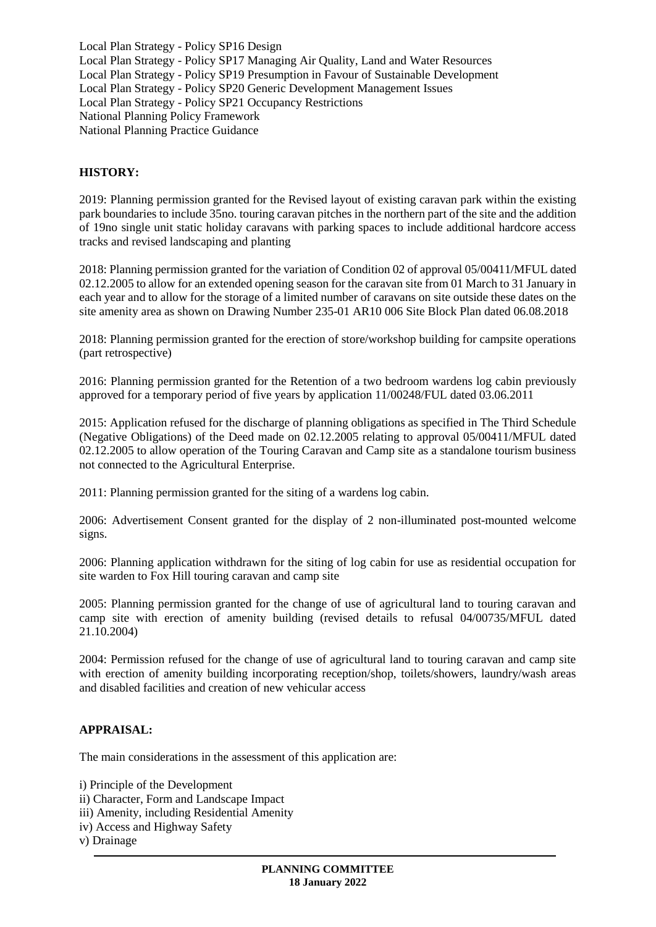Local Plan Strategy - Policy SP16 Design Local Plan Strategy - Policy SP17 Managing Air Quality, Land and Water Resources Local Plan Strategy - Policy SP19 Presumption in Favour of Sustainable Development Local Plan Strategy - Policy SP20 Generic Development Management Issues Local Plan Strategy - Policy SP21 Occupancy Restrictions National Planning Policy Framework National Planning Practice Guidance

## **HISTORY:**

2019: Planning permission granted for the Revised layout of existing caravan park within the existing park boundaries to include 35no. touring caravan pitches in the northern part of the site and the addition of 19no single unit static holiday caravans with parking spaces to include additional hardcore access tracks and revised landscaping and planting

2018: Planning permission granted for the variation of Condition 02 of approval 05/00411/MFUL dated 02.12.2005 to allow for an extended opening season for the caravan site from 01 March to 31 January in each year and to allow for the storage of a limited number of caravans on site outside these dates on the site amenity area as shown on Drawing Number 235-01 AR10 006 Site Block Plan dated 06.08.2018

2018: Planning permission granted for the erection of store/workshop building for campsite operations (part retrospective)

2016: Planning permission granted for the Retention of a two bedroom wardens log cabin previously approved for a temporary period of five years by application 11/00248/FUL dated 03.06.2011

2015: Application refused for the discharge of planning obligations as specified in The Third Schedule (Negative Obligations) of the Deed made on 02.12.2005 relating to approval 05/00411/MFUL dated 02.12.2005 to allow operation of the Touring Caravan and Camp site as a standalone tourism business not connected to the Agricultural Enterprise.

2011: Planning permission granted for the siting of a wardens log cabin.

2006: Advertisement Consent granted for the display of 2 non-illuminated post-mounted welcome signs.

2006: Planning application withdrawn for the siting of log cabin for use as residential occupation for site warden to Fox Hill touring caravan and camp site

2005: Planning permission granted for the change of use of agricultural land to touring caravan and camp site with erection of amenity building (revised details to refusal 04/00735/MFUL dated 21.10.2004)

2004: Permission refused for the change of use of agricultural land to touring caravan and camp site with erection of amenity building incorporating reception/shop, toilets/showers, laundry/wash areas and disabled facilities and creation of new vehicular access

## **APPRAISAL:**

The main considerations in the assessment of this application are:

i) Principle of the Development

- ii) Character, Form and Landscape Impact
- iii) Amenity, including Residential Amenity
- iv) Access and Highway Safety

v) Drainage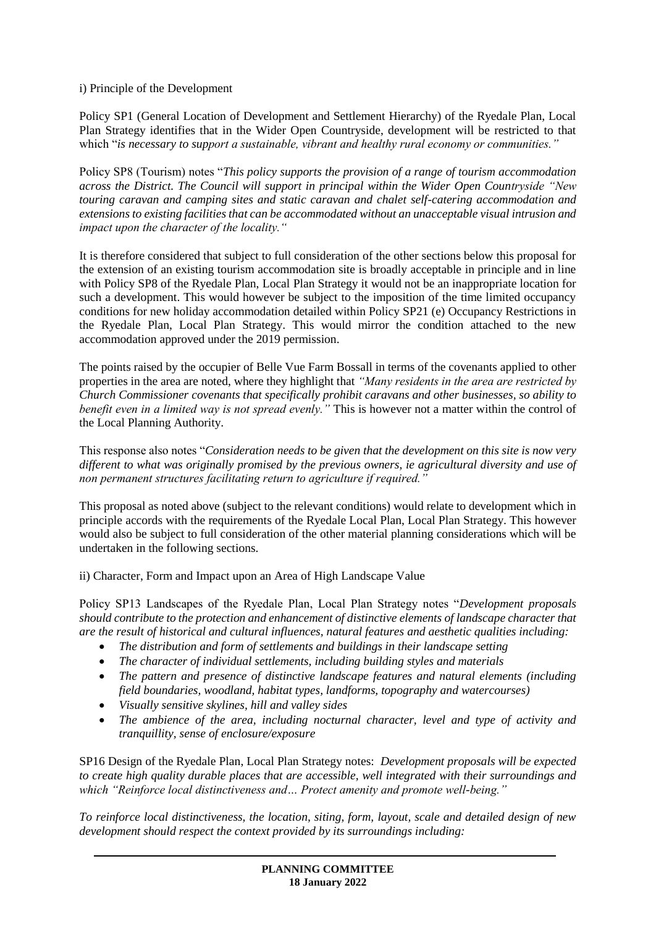i) Principle of the Development

Policy SP1 (General Location of Development and Settlement Hierarchy) of the Ryedale Plan, Local Plan Strategy identifies that in the Wider Open Countryside, development will be restricted to that which "*is necessary to support a sustainable, vibrant and healthy rural economy or communities."*

Policy SP8 (Tourism) notes "*This policy supports the provision of a range of tourism accommodation across the District. The Council will support in principal within the Wider Open Countryside "New touring caravan and camping sites and static caravan and chalet self-catering accommodation and extensions to existing facilities that can be accommodated without an unacceptable visual intrusion and impact upon the character of the locality."*

It is therefore considered that subject to full consideration of the other sections below this proposal for the extension of an existing tourism accommodation site is broadly acceptable in principle and in line with Policy SP8 of the Ryedale Plan, Local Plan Strategy it would not be an inappropriate location for such a development. This would however be subject to the imposition of the time limited occupancy conditions for new holiday accommodation detailed within Policy SP21 (e) Occupancy Restrictions in the Ryedale Plan, Local Plan Strategy. This would mirror the condition attached to the new accommodation approved under the 2019 permission.

The points raised by the occupier of Belle Vue Farm Bossall in terms of the covenants applied to other properties in the area are noted, where they highlight that *"Many residents in the area are restricted by Church Commissioner covenants that specifically prohibit caravans and other businesses, so ability to benefit even in a limited way is not spread evenly."* This is however not a matter within the control of the Local Planning Authority.

This response also notes "*Consideration needs to be given that the development on this site is now very different to what was originally promised by the previous owners, ie agricultural diversity and use of non permanent structures facilitating return to agriculture if required."*

This proposal as noted above (subject to the relevant conditions) would relate to development which in principle accords with the requirements of the Ryedale Local Plan, Local Plan Strategy. This however would also be subject to full consideration of the other material planning considerations which will be undertaken in the following sections.

ii) Character, Form and Impact upon an Area of High Landscape Value

Policy SP13 Landscapes of the Ryedale Plan, Local Plan Strategy notes "*Development proposals should contribute to the protection and enhancement of distinctive elements of landscape character that are the result of historical and cultural influences, natural features and aesthetic qualities including:* 

- *The distribution and form of settlements and buildings in their landscape setting*
- *The character of individual settlements, including building styles and materials*
- *The pattern and presence of distinctive landscape features and natural elements (including field boundaries, woodland, habitat types, landforms, topography and watercourses)*
- *Visually sensitive skylines, hill and valley sides*
- *The ambience of the area, including nocturnal character, level and type of activity and tranquillity, sense of enclosure/exposure*

SP16 Design of the Ryedale Plan, Local Plan Strategy notes: *Development proposals will be expected to create high quality durable places that are accessible, well integrated with their surroundings and which "Reinforce local distinctiveness and… Protect amenity and promote well-being."*

*To reinforce local distinctiveness, the location, siting, form, layout, scale and detailed design of new development should respect the context provided by its surroundings including:*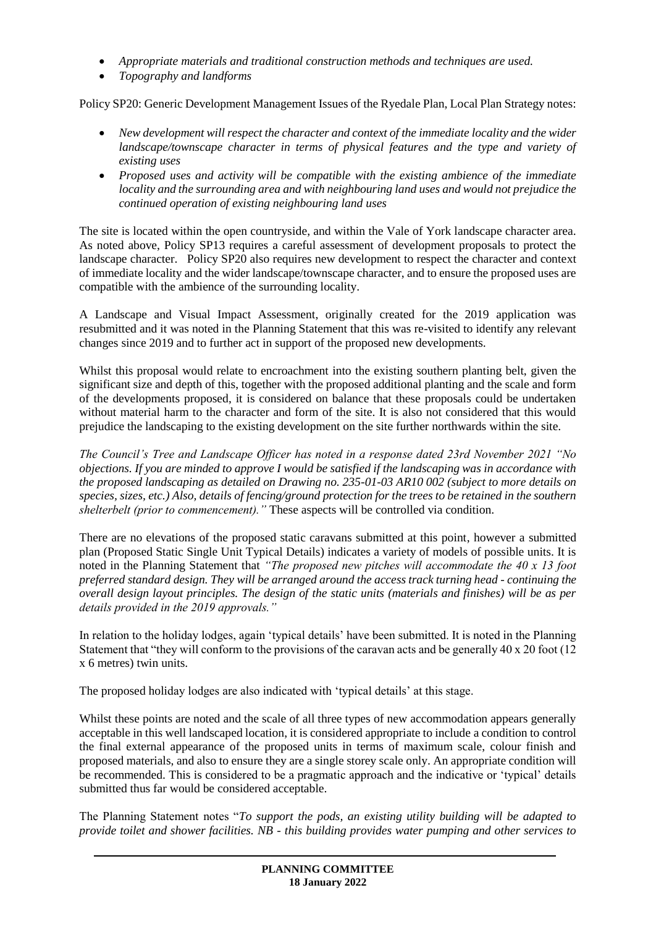- *Appropriate materials and traditional construction methods and techniques are used.*
- *Topography and landforms*

Policy SP20: Generic Development Management Issues of the Ryedale Plan, Local Plan Strategy notes:

- *New development will respect the character and context of the immediate locality and the wider landscape/townscape character in terms of physical features and the type and variety of existing uses*
- *Proposed uses and activity will be compatible with the existing ambience of the immediate locality and the surrounding area and with neighbouring land uses and would not prejudice the continued operation of existing neighbouring land uses*

The site is located within the open countryside, and within the Vale of York landscape character area. As noted above, Policy SP13 requires a careful assessment of development proposals to protect the landscape character. Policy SP20 also requires new development to respect the character and context of immediate locality and the wider landscape/townscape character, and to ensure the proposed uses are compatible with the ambience of the surrounding locality.

A Landscape and Visual Impact Assessment, originally created for the 2019 application was resubmitted and it was noted in the Planning Statement that this was re-visited to identify any relevant changes since 2019 and to further act in support of the proposed new developments.

Whilst this proposal would relate to encroachment into the existing southern planting belt, given the significant size and depth of this, together with the proposed additional planting and the scale and form of the developments proposed, it is considered on balance that these proposals could be undertaken without material harm to the character and form of the site. It is also not considered that this would prejudice the landscaping to the existing development on the site further northwards within the site.

*The Council's Tree and Landscape Officer has noted in a response dated 23rd November 2021 "No objections. If you are minded to approve I would be satisfied if the landscaping was in accordance with the proposed landscaping as detailed on Drawing no. 235-01-03 AR10 002 (subject to more details on species, sizes, etc.) Also, details of fencing/ground protection for the trees to be retained in the southern shelterbelt (prior to commencement)."* These aspects will be controlled via condition.

There are no elevations of the proposed static caravans submitted at this point, however a submitted plan (Proposed Static Single Unit Typical Details) indicates a variety of models of possible units. It is noted in the Planning Statement that *"The proposed new pitches will accommodate the 40 x 13 foot preferred standard design. They will be arranged around the access track turning head - continuing the overall design layout principles. The design of the static units (materials and finishes) will be as per details provided in the 2019 approvals."*

In relation to the holiday lodges, again 'typical details' have been submitted. It is noted in the Planning Statement that "they will conform to the provisions of the caravan acts and be generally 40 x 20 foot (12 x 6 metres) twin units.

The proposed holiday lodges are also indicated with 'typical details' at this stage.

Whilst these points are noted and the scale of all three types of new accommodation appears generally acceptable in this well landscaped location, it is considered appropriate to include a condition to control the final external appearance of the proposed units in terms of maximum scale, colour finish and proposed materials, and also to ensure they are a single storey scale only. An appropriate condition will be recommended. This is considered to be a pragmatic approach and the indicative or 'typical' details submitted thus far would be considered acceptable.

The Planning Statement notes "*To support the pods, an existing utility building will be adapted to provide toilet and shower facilities. NB - this building provides water pumping and other services to*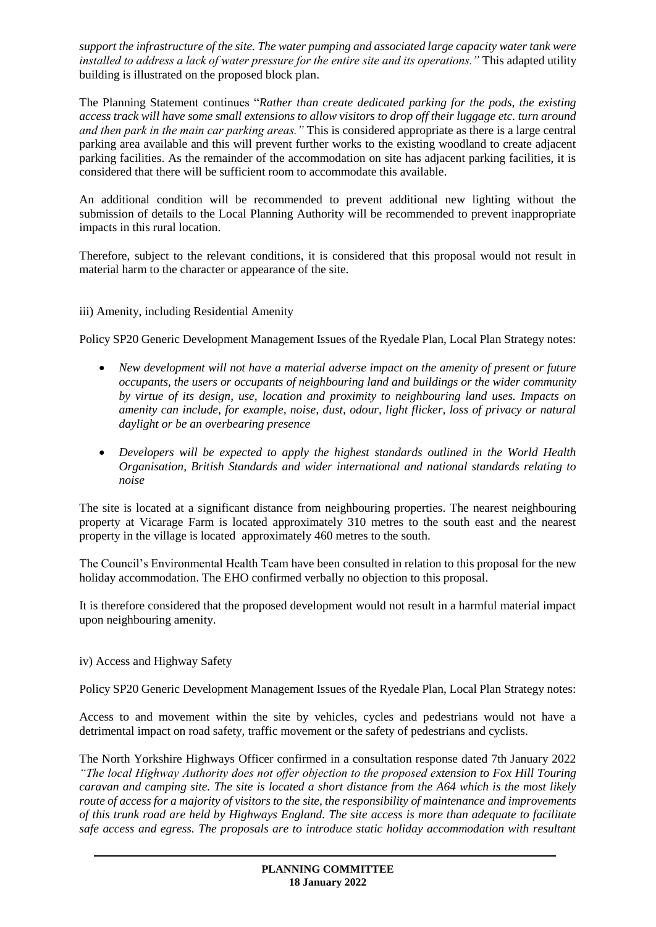*support the infrastructure of the site. The water pumping and associated large capacity water tank were installed to address a lack of water pressure for the entire site and its operations."* This adapted utility building is illustrated on the proposed block plan.

The Planning Statement continues "*Rather than create dedicated parking for the pods, the existing access track will have some small extensions to allow visitors to drop off their luggage etc. turn around and then park in the main car parking areas."* This is considered appropriate as there is a large central parking area available and this will prevent further works to the existing woodland to create adjacent parking facilities. As the remainder of the accommodation on site has adjacent parking facilities, it is considered that there will be sufficient room to accommodate this available.

An additional condition will be recommended to prevent additional new lighting without the submission of details to the Local Planning Authority will be recommended to prevent inappropriate impacts in this rural location.

Therefore, subject to the relevant conditions, it is considered that this proposal would not result in material harm to the character or appearance of the site.

iii) Amenity, including Residential Amenity

Policy SP20 Generic Development Management Issues of the Ryedale Plan, Local Plan Strategy notes:

- *New development will not have a material adverse impact on the amenity of present or future occupants, the users or occupants of neighbouring land and buildings or the wider community by virtue of its design, use, location and proximity to neighbouring land uses. Impacts on amenity can include, for example, noise, dust, odour, light flicker, loss of privacy or natural daylight or be an overbearing presence*
- *Developers will be expected to apply the highest standards outlined in the World Health Organisation, British Standards and wider international and national standards relating to noise*

The site is located at a significant distance from neighbouring properties. The nearest neighbouring property at Vicarage Farm is located approximately 310 metres to the south east and the nearest property in the village is located approximately 460 metres to the south.

The Council's Environmental Health Team have been consulted in relation to this proposal for the new holiday accommodation. The EHO confirmed verbally no objection to this proposal.

It is therefore considered that the proposed development would not result in a harmful material impact upon neighbouring amenity.

### iv) Access and Highway Safety

Policy SP20 Generic Development Management Issues of the Ryedale Plan, Local Plan Strategy notes:

Access to and movement within the site by vehicles, cycles and pedestrians would not have a detrimental impact on road safety, traffic movement or the safety of pedestrians and cyclists.

The North Yorkshire Highways Officer confirmed in a consultation response dated 7th January 2022 *"The local Highway Authority does not offer objection to the proposed extension to Fox Hill Touring caravan and camping site. The site is located a short distance from the A64 which is the most likely route of access for a majority of visitors to the site, the responsibility of maintenance and improvements of this trunk road are held by Highways England. The site access is more than adequate to facilitate safe access and egress. The proposals are to introduce static holiday accommodation with resultant*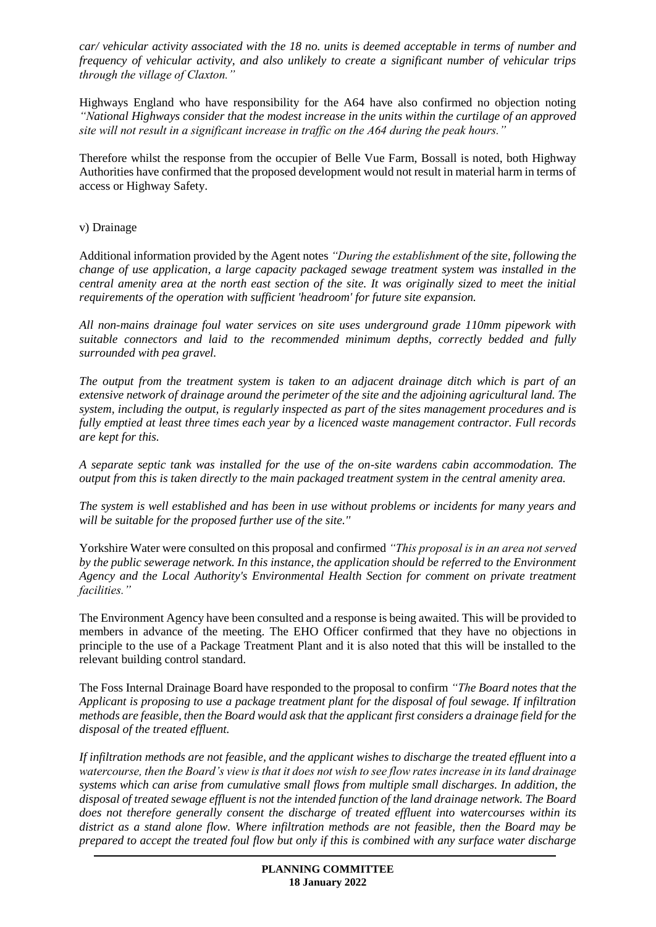*car/ vehicular activity associated with the 18 no. units is deemed acceptable in terms of number and frequency of vehicular activity, and also unlikely to create a significant number of vehicular trips through the village of Claxton."*

Highways England who have responsibility for the A64 have also confirmed no objection noting *"National Highways consider that the modest increase in the units within the curtilage of an approved site will not result in a significant increase in traffic on the A64 during the peak hours."*

Therefore whilst the response from the occupier of Belle Vue Farm, Bossall is noted, both Highway Authorities have confirmed that the proposed development would not result in material harm in terms of access or Highway Safety.

## v) Drainage

Additional information provided by the Agent notes *"During the establishment of the site, following the change of use application, a large capacity packaged sewage treatment system was installed in the central amenity area at the north east section of the site. It was originally sized to meet the initial requirements of the operation with sufficient 'headroom' for future site expansion.*

*All non-mains drainage foul water services on site uses underground grade 110mm pipework with suitable connectors and laid to the recommended minimum depths, correctly bedded and fully surrounded with pea gravel.*

*The output from the treatment system is taken to an adjacent drainage ditch which is part of an extensive network of drainage around the perimeter of the site and the adjoining agricultural land. The system, including the output, is regularly inspected as part of the sites management procedures and is fully emptied at least three times each year by a licenced waste management contractor. Full records are kept for this.*

*A separate septic tank was installed for the use of the on-site wardens cabin accommodation. The output from this is taken directly to the main packaged treatment system in the central amenity area.*

*The system is well established and has been in use without problems or incidents for many years and will be suitable for the proposed further use of the site.''*

Yorkshire Water were consulted on this proposal and confirmed *"This proposal is in an area not served by the public sewerage network. In this instance, the application should be referred to the Environment Agency and the Local Authority's Environmental Health Section for comment on private treatment facilities."* 

The Environment Agency have been consulted and a response is being awaited. This will be provided to members in advance of the meeting. The EHO Officer confirmed that they have no objections in principle to the use of a Package Treatment Plant and it is also noted that this will be installed to the relevant building control standard.

The Foss Internal Drainage Board have responded to the proposal to confirm *"The Board notes that the Applicant is proposing to use a package treatment plant for the disposal of foul sewage. If infiltration methods are feasible, then the Board would ask that the applicant first considers a drainage field for the disposal of the treated effluent.* 

*If infiltration methods are not feasible, and the applicant wishes to discharge the treated effluent into a watercourse, then the Board's view is that it does not wish to see flow rates increase in its land drainage systems which can arise from cumulative small flows from multiple small discharges. In addition, the disposal of treated sewage effluent is not the intended function of the land drainage network. The Board does not therefore generally consent the discharge of treated effluent into watercourses within its district as a stand alone flow. Where infiltration methods are not feasible, then the Board may be prepared to accept the treated foul flow but only if this is combined with any surface water discharge*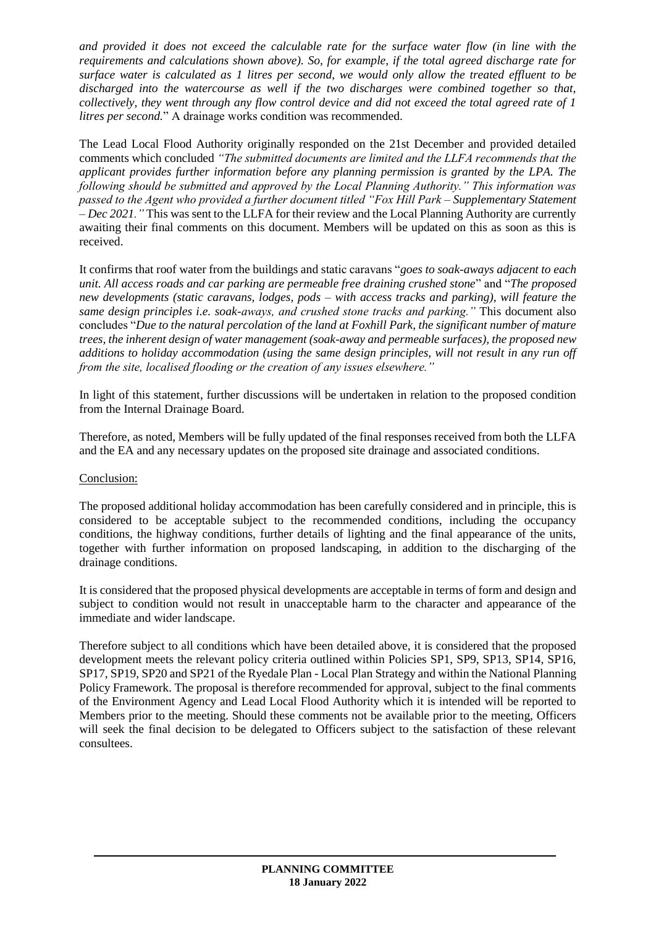*and provided it does not exceed the calculable rate for the surface water flow (in line with the requirements and calculations shown above). So, for example, if the total agreed discharge rate for surface water is calculated as 1 litres per second, we would only allow the treated effluent to be discharged into the watercourse as well if the two discharges were combined together so that, collectively, they went through any flow control device and did not exceed the total agreed rate of 1 litres per second.*" A drainage works condition was recommended.

The Lead Local Flood Authority originally responded on the 21st December and provided detailed comments which concluded *"The submitted documents are limited and the LLFA recommends that the applicant provides further information before any planning permission is granted by the LPA. The following should be submitted and approved by the Local Planning Authority." This information was passed to the Agent who provided a further document titled "Fox Hill Park – Supplementary Statement – Dec 2021."* This was sent to the LLFA for their review and the Local Planning Authority are currently awaiting their final comments on this document. Members will be updated on this as soon as this is received.

It confirms that roof water from the buildings and static caravans "*goes to soak-aways adjacent to each unit. All access roads and car parking are permeable free draining crushed stone*" and "*The proposed new developments (static caravans, lodges, pods – with access tracks and parking), will feature the same design principles i.e. soak-aways, and crushed stone tracks and parking."* This document also concludes "*Due to the natural percolation of the land at Foxhill Park, the significant number of mature trees, the inherent design of water management (soak-away and permeable surfaces), the proposed new additions to holiday accommodation (using the same design principles, will not result in any run off from the site, localised flooding or the creation of any issues elsewhere."* 

In light of this statement, further discussions will be undertaken in relation to the proposed condition from the Internal Drainage Board.

Therefore, as noted, Members will be fully updated of the final responses received from both the LLFA and the EA and any necessary updates on the proposed site drainage and associated conditions.

# Conclusion:

The proposed additional holiday accommodation has been carefully considered and in principle, this is considered to be acceptable subject to the recommended conditions, including the occupancy conditions, the highway conditions, further details of lighting and the final appearance of the units, together with further information on proposed landscaping, in addition to the discharging of the drainage conditions.

It is considered that the proposed physical developments are acceptable in terms of form and design and subject to condition would not result in unacceptable harm to the character and appearance of the immediate and wider landscape.

Therefore subject to all conditions which have been detailed above, it is considered that the proposed development meets the relevant policy criteria outlined within Policies SP1, SP9, SP13, SP14, SP16, SP17, SP19, SP20 and SP21 of the Ryedale Plan - Local Plan Strategy and within the National Planning Policy Framework. The proposal is therefore recommended for approval, subject to the final comments of the Environment Agency and Lead Local Flood Authority which it is intended will be reported to Members prior to the meeting. Should these comments not be available prior to the meeting, Officers will seek the final decision to be delegated to Officers subject to the satisfaction of these relevant consultees.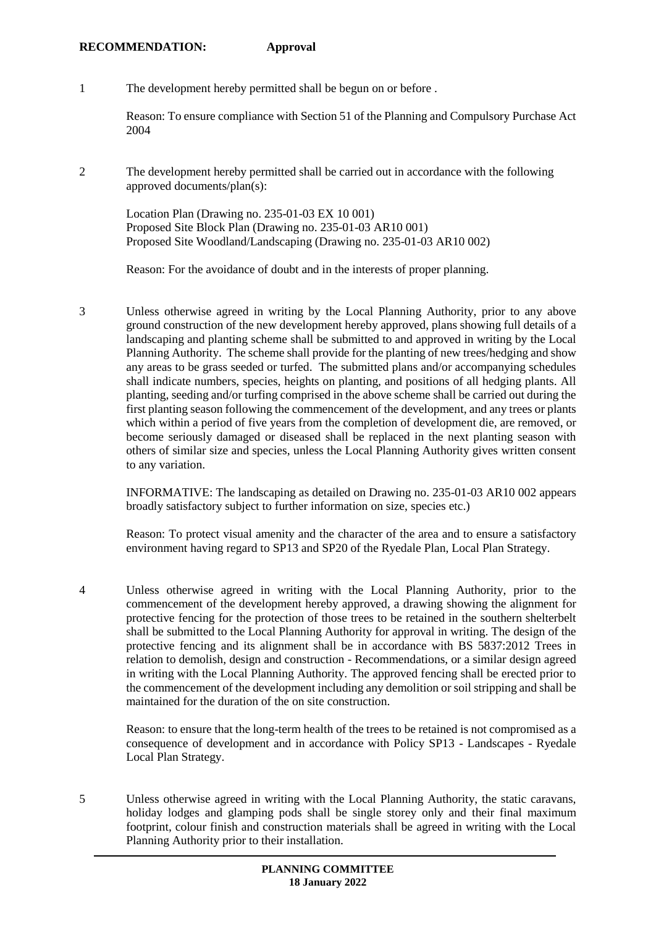#### **RECOMMENDATION: Approval**

1 The development hereby permitted shall be begun on or before .

Reason: To ensure compliance with Section 51 of the Planning and Compulsory Purchase Act 2004

2 The development hereby permitted shall be carried out in accordance with the following approved documents/plan(s):

Location Plan (Drawing no. 235-01-03 EX 10 001) Proposed Site Block Plan (Drawing no. 235-01-03 AR10 001) Proposed Site Woodland/Landscaping (Drawing no. 235-01-03 AR10 002)

Reason: For the avoidance of doubt and in the interests of proper planning.

3 Unless otherwise agreed in writing by the Local Planning Authority, prior to any above ground construction of the new development hereby approved, plans showing full details of a landscaping and planting scheme shall be submitted to and approved in writing by the Local Planning Authority. The scheme shall provide for the planting of new trees/hedging and show any areas to be grass seeded or turfed. The submitted plans and/or accompanying schedules shall indicate numbers, species, heights on planting, and positions of all hedging plants. All planting, seeding and/or turfing comprised in the above scheme shall be carried out during the first planting season following the commencement of the development, and any trees or plants which within a period of five years from the completion of development die, are removed, or become seriously damaged or diseased shall be replaced in the next planting season with others of similar size and species, unless the Local Planning Authority gives written consent to any variation.

INFORMATIVE: The landscaping as detailed on Drawing no. 235-01-03 AR10 002 appears broadly satisfactory subject to further information on size, species etc.)

Reason: To protect visual amenity and the character of the area and to ensure a satisfactory environment having regard to SP13 and SP20 of the Ryedale Plan, Local Plan Strategy.

4 Unless otherwise agreed in writing with the Local Planning Authority, prior to the commencement of the development hereby approved, a drawing showing the alignment for protective fencing for the protection of those trees to be retained in the southern shelterbelt shall be submitted to the Local Planning Authority for approval in writing. The design of the protective fencing and its alignment shall be in accordance with BS 5837:2012 Trees in relation to demolish, design and construction - Recommendations, or a similar design agreed in writing with the Local Planning Authority. The approved fencing shall be erected prior to the commencement of the development including any demolition or soil stripping and shall be maintained for the duration of the on site construction.

Reason: to ensure that the long-term health of the trees to be retained is not compromised as a consequence of development and in accordance with Policy SP13 - Landscapes - Ryedale Local Plan Strategy.

5 Unless otherwise agreed in writing with the Local Planning Authority, the static caravans, holiday lodges and glamping pods shall be single storey only and their final maximum footprint, colour finish and construction materials shall be agreed in writing with the Local Planning Authority prior to their installation.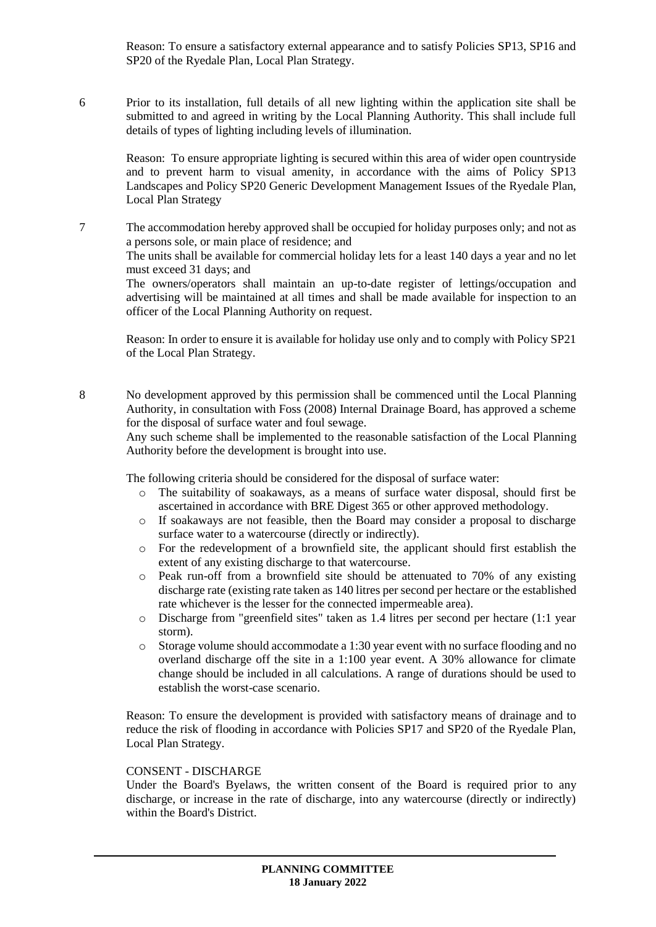Reason: To ensure a satisfactory external appearance and to satisfy Policies SP13, SP16 and SP20 of the Ryedale Plan, Local Plan Strategy.

6 Prior to its installation, full details of all new lighting within the application site shall be submitted to and agreed in writing by the Local Planning Authority. This shall include full details of types of lighting including levels of illumination.

Reason: To ensure appropriate lighting is secured within this area of wider open countryside and to prevent harm to visual amenity, in accordance with the aims of Policy SP13 Landscapes and Policy SP20 Generic Development Management Issues of the Ryedale Plan, Local Plan Strategy

7 The accommodation hereby approved shall be occupied for holiday purposes only; and not as a persons sole, or main place of residence; and

The units shall be available for commercial holiday lets for a least 140 days a year and no let must exceed 31 days; and

The owners/operators shall maintain an up-to-date register of lettings/occupation and advertising will be maintained at all times and shall be made available for inspection to an officer of the Local Planning Authority on request.

Reason: In order to ensure it is available for holiday use only and to comply with Policy SP21 of the Local Plan Strategy.

8 No development approved by this permission shall be commenced until the Local Planning Authority, in consultation with Foss (2008) Internal Drainage Board, has approved a scheme for the disposal of surface water and foul sewage.

Any such scheme shall be implemented to the reasonable satisfaction of the Local Planning Authority before the development is brought into use.

The following criteria should be considered for the disposal of surface water:

- o The suitability of soakaways, as a means of surface water disposal, should first be ascertained in accordance with BRE Digest 365 or other approved methodology.
- o If soakaways are not feasible, then the Board may consider a proposal to discharge surface water to a watercourse (directly or indirectly).
- o For the redevelopment of a brownfield site, the applicant should first establish the extent of any existing discharge to that watercourse.
- o Peak run-off from a brownfield site should be attenuated to 70% of any existing discharge rate (existing rate taken as 140 litres per second per hectare or the established rate whichever is the lesser for the connected impermeable area).
- o Discharge from "greenfield sites" taken as 1.4 litres per second per hectare (1:1 year storm).
- o Storage volume should accommodate a 1:30 year event with no surface flooding and no overland discharge off the site in a 1:100 year event. A 30% allowance for climate change should be included in all calculations. A range of durations should be used to establish the worst-case scenario.

Reason: To ensure the development is provided with satisfactory means of drainage and to reduce the risk of flooding in accordance with Policies SP17 and SP20 of the Ryedale Plan, Local Plan Strategy.

# CONSENT - DISCHARGE

Under the Board's Byelaws, the written consent of the Board is required prior to any discharge, or increase in the rate of discharge, into any watercourse (directly or indirectly) within the Board's District.